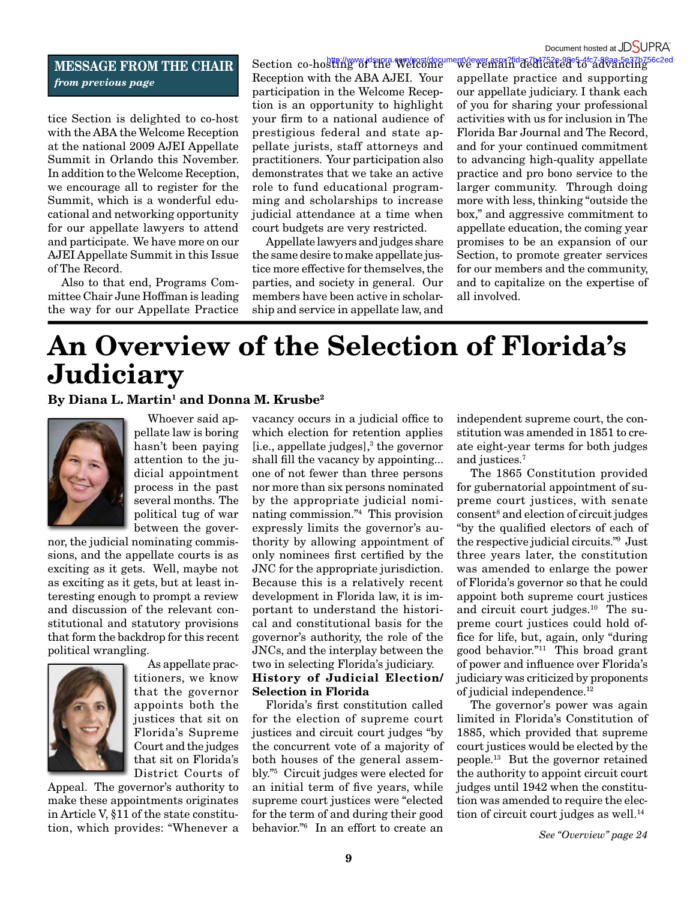## **MESSAGE FROM THE CHAIR** *from previous page*

tice Section is delighted to co-host with the ABA the Welcome Reception at the national 2009 AJEI Appellate Summit in Orlando this November. In addition to the Welcome Reception, we encourage all to register for the Summit, which is a wonderful educational and networking opportunity for our appellate lawyers to attend and participate. We have more on our AJEI Appellate Summit in this Issue of The Record.

Also to that end, Programs Committee Chair June Hoffman is leading the way for our Appellate Practice

Section co-hosting of the Welcome Reception with the ABA AJEI. Your participation in the Welcome Reception is an opportunity to highlight your firm to a national audience of prestigious federal and state appellate jurists, staff attorneys and practitioners. Your participation also demonstrates that we take an active role to fund educational programming and scholarships to increase judicial attendance at a time when court budgets are very restricted.

Appellate lawyers and judges share the same desire to make appellate justice more effective for themselves, the parties, and society in general. Our members have been active in scholarship and service in appellate law, and

http://www.jdsupra.com/post/documentViewer.aspx?fid=c7b4752e-98e5-4fc7-88aa-5e37b756c2ed<br>sting of the Welcome we remain dedicated to advancing appellate practice and supporting our appellate judiciary. I thank each of you for sharing your professional activities with us for inclusion in The Florida Bar Journal and The Record, and for your continued commitment to advancing high-quality appellate practice and pro bono service to the larger community. Through doing more with less, thinking "outside the box," and aggressive commitment to appellate education, the coming year promises to be an expansion of our Section, to promote greater services for our members and the community, and to capitalize on the expertise of all involved.

## **An Overview of the Selection of Florida's Judiciary**

## By Diana L. Martin<sup>1</sup> and Donna M. Krusbe<sup>2</sup>



Whoever said appellate law is boring hasn't been paying attention to the judicial appointment process in the past several months. The political tug of war between the gover-

nor, the judicial nominating commissions, and the appellate courts is as exciting as it gets. Well, maybe not as exciting as it gets, but at least interesting enough to prompt a review and discussion of the relevant constitutional and statutory provisions that form the backdrop for this recent political wrangling.



As appellate practitioners, we know that the governor appoints both the justices that sit on Florida's Supreme Court and the judges that sit on Florida's District Courts of

Appeal. The governor's authority to make these appointments originates in Article V, §11 of the state constitution, which provides: "Whenever a

vacancy occurs in a judicial office to which election for retention applies  $[i.e.,$  appellate judges], $3$  the governor shall fill the vacancy by appointing... one of not fewer than three persons nor more than six persons nominated by the appropriate judicial nominating commission."4 This provision expressly limits the governor's authority by allowing appointment of only nominees first certified by the JNC for the appropriate jurisdiction. Because this is a relatively recent development in Florida law, it is important to understand the historical and constitutional basis for the governor's authority, the role of the JNCs, and the interplay between the two in selecting Florida's judiciary. **History of Judicial Election/ Selection in Florida**

Florida's first constitution called for the election of supreme court justices and circuit court judges "by the concurrent vote of a majority of both houses of the general assembly."5 Circuit judges were elected for an initial term of five years, while supreme court justices were "elected for the term of and during their good behavior."6 In an effort to create an independent supreme court, the constitution was amended in 1851 to create eight-year terms for both judges and justices.7

The 1865 Constitution provided for gubernatorial appointment of supreme court justices, with senate consent8 and election of circuit judges "by the qualified electors of each of the respective judicial circuits."9 Just three years later, the constitution was amended to enlarge the power of Florida's governor so that he could appoint both supreme court justices and circuit court judges.10 The supreme court justices could hold office for life, but, again, only "during good behavior."11 This broad grant of power and influence over Florida's judiciary was criticized by proponents of judicial independence.<sup>12</sup>

The governor's power was again limited in Florida's Constitution of 1885, which provided that supreme court justices would be elected by the people.13 But the governor retained the authority to appoint circuit court judges until 1942 when the constitution was amended to require the election of circuit court judges as well.<sup>14</sup>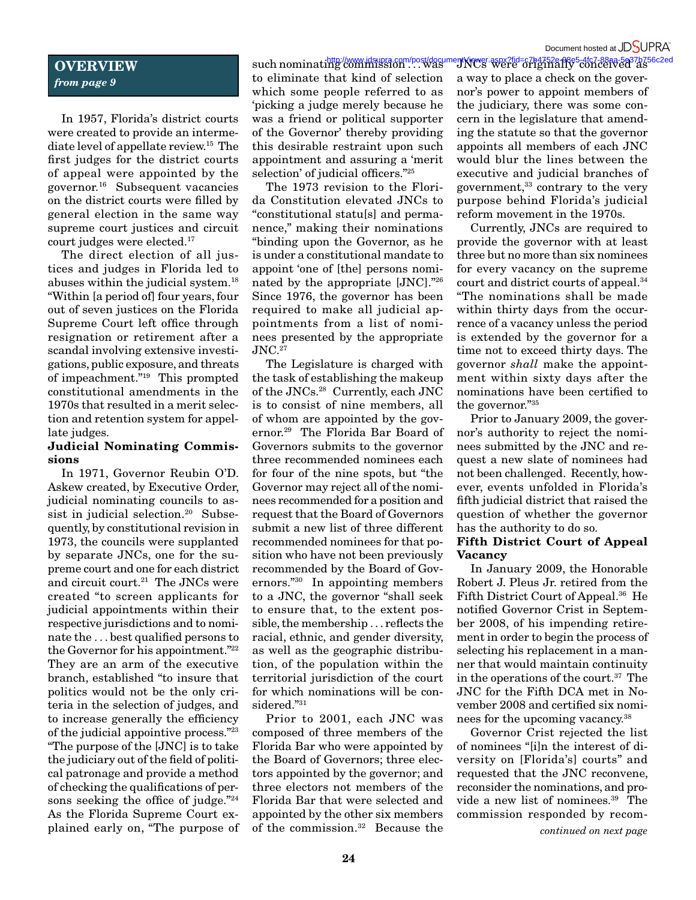### Document hosted at JDSUPRA

## **OVERVIEW** *from page 9*

In 1957, Florida's district courts were created to provide an intermediate level of appellate review.15 The first judges for the district courts of appeal were appointed by the governor.16 Subsequent vacancies on the district courts were filled by general election in the same way supreme court justices and circuit court judges were elected.17

The direct election of all justices and judges in Florida led to abuses within the judicial system.18 "Within [a period of] four years, four out of seven justices on the Florida Supreme Court left office through resignation or retirement after a scandal involving extensive investigations, public exposure, and threats of impeachment."19 This prompted constitutional amendments in the 1970s that resulted in a merit selection and retention system for appellate judges.

#### **Judicial Nominating Commissions**

In 1971, Governor Reubin O'D. Askew created, by Executive Order, judicial nominating councils to assist in judicial selection.<sup>20</sup> Subsequently, by constitutional revision in 1973, the councils were supplanted by separate JNCs, one for the supreme court and one for each district and circuit court.<sup>21</sup> The JNCs were created "to screen applicants for judicial appointments within their respective jurisdictions and to nominate the . . . best qualified persons to the Governor for his appointment."22 They are an arm of the executive branch, established "to insure that politics would not be the only criteria in the selection of judges, and to increase generally the efficiency of the judicial appointive process."23 "The purpose of the [JNC] is to take the judiciary out of the field of political patronage and provide a method of checking the qualifications of persons seeking the office of judge."<sup>24</sup> As the Florida Supreme Court explained early on, "The purpose of

such nominating commission ... was to eliminate that kind of selection which some people referred to as 'picking a judge merely because he was a friend or political supporter of the Governor' thereby providing this desirable restraint upon such appointment and assuring a 'merit selection' of judicial officers."25

The 1973 revision to the Florida Constitution elevated JNCs to "constitutional statu[s] and permanence," making their nominations "binding upon the Governor, as he is under a constitutional mandate to appoint 'one of [the] persons nominated by the appropriate [JNC]."26 Since 1976, the governor has been required to make all judicial appointments from a list of nominees presented by the appropriate JNC.27

The Legislature is charged with the task of establishing the makeup of the JNCs.28 Currently, each JNC is to consist of nine members, all of whom are appointed by the governor.29 The Florida Bar Board of Governors submits to the governor three recommended nominees each for four of the nine spots, but "the Governor may reject all of the nominees recommended for a position and request that the Board of Governors submit a new list of three different recommended nominees for that position who have not been previously recommended by the Board of Governors."30 In appointing members to a JNC, the governor "shall seek to ensure that, to the extent possible, the membership . . . reflects the racial, ethnic, and gender diversity, as well as the geographic distribution, of the population within the territorial jurisdiction of the court for which nominations will be considered."31

Prior to 2001, each JNC was composed of three members of the Florida Bar who were appointed by the Board of Governors; three electors appointed by the governor; and three electors not members of the Florida Bar that were selected and appointed by the other six members of the commission.32 Because the

http://www.jdsupra.com/post/documentViewer.aspx?fid=c7b4752e-88e5-4fc7-88aa-5e37b756c2ed<br>ng commission . . . Was "JNCs" were originally conceived as a way to place a check on the governor's power to appoint members of the judiciary, there was some concern in the legislature that amending the statute so that the governor appoints all members of each JNC would blur the lines between the executive and judicial branches of government,<sup>33</sup> contrary to the very purpose behind Florida's judicial reform movement in the 1970s.

> Currently, JNCs are required to provide the governor with at least three but no more than six nominees for every vacancy on the supreme court and district courts of appeal.34 "The nominations shall be made within thirty days from the occurrence of a vacancy unless the period is extended by the governor for a time not to exceed thirty days. The governor *shall* make the appointment within sixty days after the nominations have been certified to the governor."35

> Prior to January 2009, the governor's authority to reject the nominees submitted by the JNC and request a new slate of nominees had not been challenged. Recently, however, events unfolded in Florida's fifth judicial district that raised the question of whether the governor has the authority to do so.

#### **Fifth District Court of Appeal Vacancy**

In January 2009, the Honorable Robert J. Pleus Jr. retired from the Fifth District Court of Appeal.36 He notified Governor Crist in September 2008, of his impending retirement in order to begin the process of selecting his replacement in a manner that would maintain continuity in the operations of the court.37 The JNC for the Fifth DCA met in November 2008 and certified six nominees for the upcoming vacancy.38

Governor Crist rejected the list of nominees "[i]n the interest of diversity on [Florida's] courts" and requested that the JNC reconvene, reconsider the nominations, and provide a new list of nominees.39 The commission responded by recom-

*continued on next page*